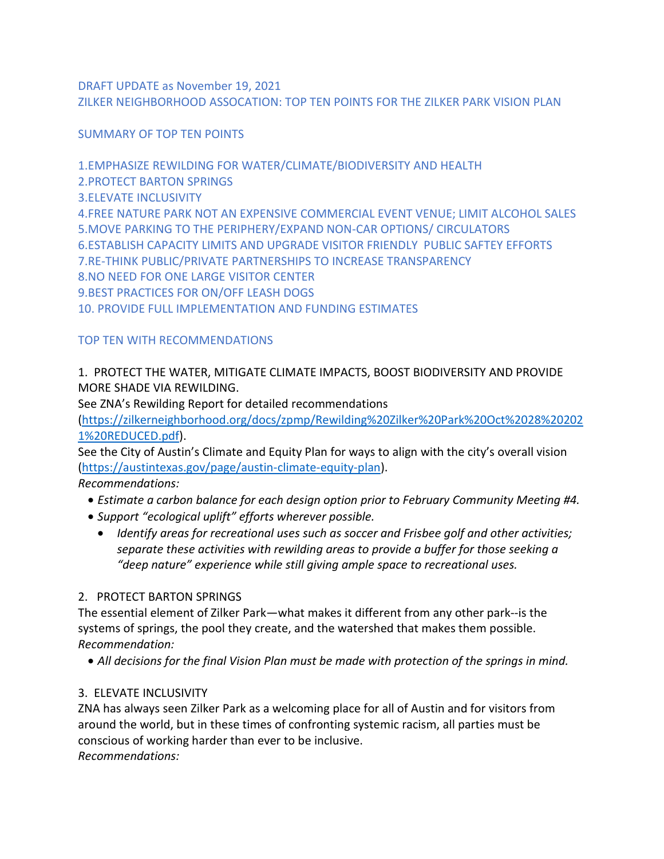DRAFT UPDATE as November 19, 2021 ZILKER NEIGHBORHOOD ASSOCATION: TOP TEN POINTS FOR THE ZILKER PARK VISION PLAN

SUMMARY OF TOP TEN POINTS

1.EMPHASIZE REWILDING FOR WATER/CLIMATE/BIODIVERSITY AND HEALTH 2.PROTECT BARTON SPRINGS 3.ELEVATE INCLUSIVITY 4.FREE NATURE PARK NOT AN EXPENSIVE COMMERCIAL EVENT VENUE; LIMIT ALCOHOL SALES 5.MOVE PARKING TO THE PERIPHERY/EXPAND NON-CAR OPTIONS/ CIRCULATORS 6.ESTABLISH CAPACITY LIMITS AND UPGRADE VISITOR FRIENDLY PUBLIC SAFTEY EFFORTS 7.RE-THINK PUBLIC/PRIVATE PARTNERSHIPS TO INCREASE TRANSPARENCY 8.NO NEED FOR ONE LARGE VISITOR CENTER 9.BEST PRACTICES FOR ON/OFF LEASH DOGS 10. PROVIDE FULL IMPLEMENTATION AND FUNDING ESTIMATES

# TOP TEN WITH RECOMMENDATIONS

# 1. PROTECT THE WATER, MITIGATE CLIMATE IMPACTS, BOOST BIODIVERSITY AND PROVIDE MORE SHADE VIA REWILDING.

See ZNA's Rewilding Report for detailed recommendations

[\(https://zilkerneighborhood.org/docs/zpmp/Rewilding%20Zilker%20Park%20Oct%2028%20202](https://zilkerneighborhood.org/docs/zpmp/Rewilding%20Zilker%20Park%20Oct%2028%202021%20REDUCED.pdf) [1%20REDUCED.pdf\)](https://zilkerneighborhood.org/docs/zpmp/Rewilding%20Zilker%20Park%20Oct%2028%202021%20REDUCED.pdf).

See the City of Austin's Climate and Equity Plan for ways to align with the city's overall vision [\(https://austintexas.gov/page/austin-climate-equity-plan\)](https://austintexas.gov/page/austin-climate-equity-plan).

*Recommendations:* 

- *Estimate a carbon balance for each design option prior to February Community Meeting #4.*
- *Support "ecological uplift" efforts wherever possible.* 
	- *Identify areas for recreational uses such as soccer and Frisbee golf and other activities; separate these activities with rewilding areas to provide a buffer for those seeking a "deep nature" experience while still giving ample space to recreational uses.*

# 2. PROTECT BARTON SPRINGS

The essential element of Zilker Park—what makes it different from any other park--is the systems of springs, the pool they create, and the watershed that makes them possible. *Recommendation:*

• *All decisions for the final Vision Plan must be made with protection of the springs in mind.*

# 3. ELEVATE INCLUSIVITY

ZNA has always seen Zilker Park as a welcoming place for all of Austin and for visitors from around the world, but in these times of confronting systemic racism, all parties must be conscious of working harder than ever to be inclusive. *Recommendations:*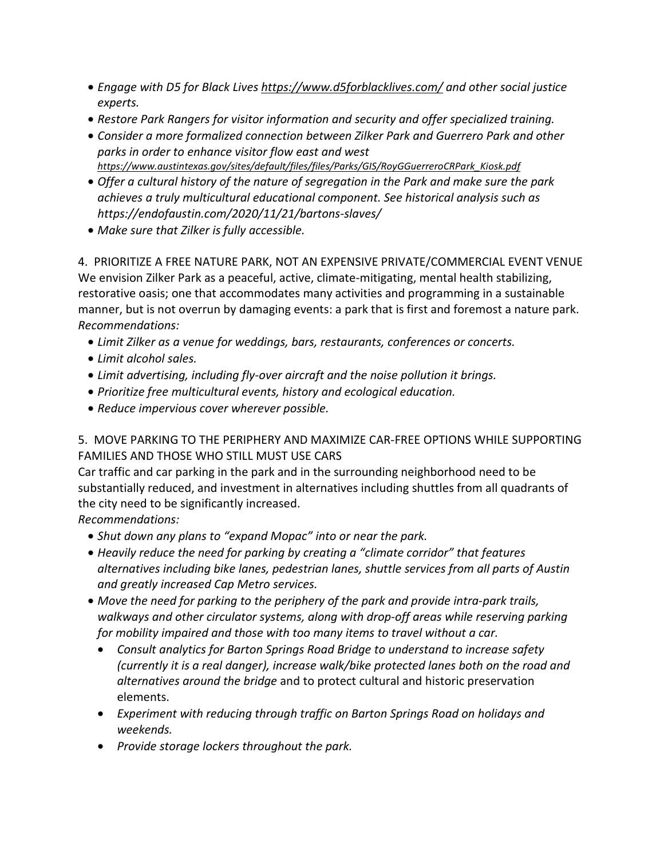- *Engage with D5 for Black Lives<https://www.d5forblacklives.com/> and other social justice experts.*
- *Restore Park Rangers for visitor information and security and offer specialized training.*
- *Consider a more formalized connection between Zilker Park and Guerrero Park and other parks in order to enhance visitor flow east and west [https://www.austintexas.gov/sites/default/files/files/Parks/GIS/RoyGGuerreroCRPark\\_Kiosk.pdf](https://www.austintexas.gov/sites/default/files/files/Parks/GIS/RoyGGuerreroCRPark_Kiosk.pdf)*
- *Offer a cultural history of the nature of segregation in the Park and make sure the park achieves a truly multicultural educational component. See historical analysis such as https://endofaustin.com/2020/11/21/bartons-slaves/*
- *Make sure that Zilker is fully accessible.*

4. PRIORITIZE A FREE NATURE PARK, NOT AN EXPENSIVE PRIVATE/COMMERCIAL EVENT VENUE We envision Zilker Park as a peaceful, active, climate-mitigating, mental health stabilizing, restorative oasis; one that accommodates many activities and programming in a sustainable manner, but is not overrun by damaging events: a park that is first and foremost a nature park. *Recommendations:* 

- *Limit Zilker as a venue for weddings, bars, restaurants, conferences or concerts.*
- *Limit alcohol sales.*
- *Limit advertising, including fly-over aircraft and the noise pollution it brings.*
- *Prioritize free multicultural events, history and ecological education.*
- *Reduce impervious cover wherever possible.*

5. MOVE PARKING TO THE PERIPHERY AND MAXIMIZE CAR-FREE OPTIONS WHILE SUPPORTING FAMILIES AND THOSE WHO STILL MUST USE CARS

Car traffic and car parking in the park and in the surrounding neighborhood need to be substantially reduced, and investment in alternatives including shuttles from all quadrants of the city need to be significantly increased.

*Recommendations:* 

- *Shut down any plans to "expand Mopac" into or near the park.*
- *Heavily reduce the need for parking by creating a "climate corridor" that features alternatives including bike lanes, pedestrian lanes, shuttle services from all parts of Austin and greatly increased Cap Metro services.*
- *Move the need for parking to the periphery of the park and provide intra-park trails, walkways and other circulator systems, along with drop-off areas while reserving parking for mobility impaired and those with too many items to travel without a car.* 
	- *Consult analytics for Barton Springs Road Bridge to understand to increase safety (currently it is a real danger), increase walk/bike protected lanes both on the road and alternatives around the bridge* and to protect cultural and historic preservation elements.
	- *Experiment with reducing through traffic on Barton Springs Road on holidays and weekends.*
	- *Provide storage lockers throughout the park.*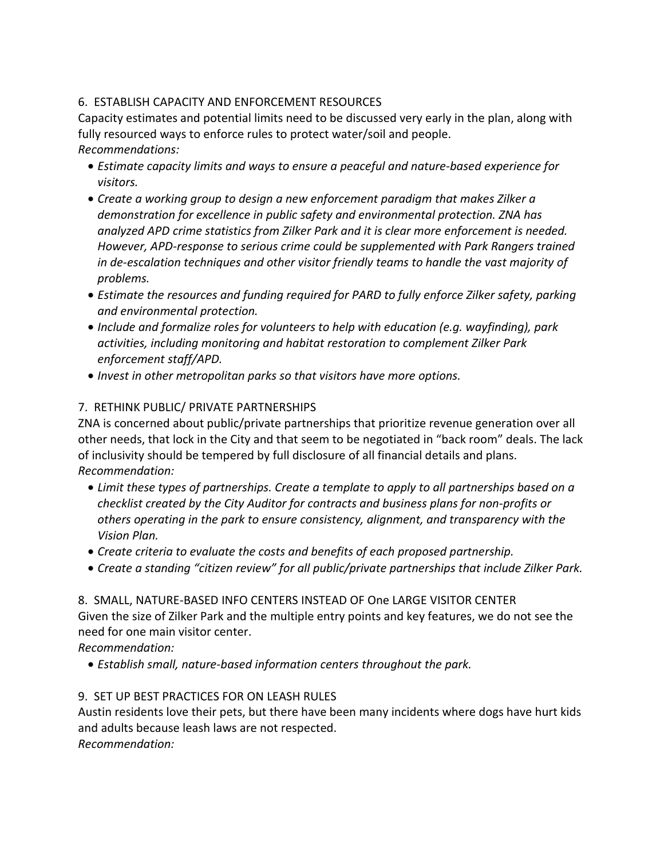### 6. ESTABLISH CAPACITY AND ENFORCEMENT RESOURCES

Capacity estimates and potential limits need to be discussed very early in the plan, along with fully resourced ways to enforce rules to protect water/soil and people. *Recommendations:* 

- *Estimate capacity limits and ways to ensure a peaceful and nature-based experience for visitors.*
- *Create a working group to design a new enforcement paradigm that makes Zilker a demonstration for excellence in public safety and environmental protection. ZNA has analyzed APD crime statistics from Zilker Park and it is clear more enforcement is needed. However, APD-response to serious crime could be supplemented with Park Rangers trained in de-escalation techniques and other visitor friendly teams to handle the vast majority of problems.*
- *Estimate the resources and funding required for PARD to fully enforce Zilker safety, parking and environmental protection.*
- *Include and formalize roles for volunteers to help with education (e.g. wayfinding), park activities, including monitoring and habitat restoration to complement Zilker Park enforcement staff/APD.*
- *Invest in other metropolitan parks so that visitors have more options.*

## 7. RETHINK PUBLIC/ PRIVATE PARTNERSHIPS

ZNA is concerned about public/private partnerships that prioritize revenue generation over all other needs, that lock in the City and that seem to be negotiated in "back room" deals. The lack of inclusivity should be tempered by full disclosure of all financial details and plans. *Recommendation:* 

- *Limit these types of partnerships. Create a template to apply to all partnerships based on a checklist created by the City Auditor for contracts and business plans for non-profits or others operating in the park to ensure consistency, alignment, and transparency with the Vision Plan.*
- *Create criteria to evaluate the costs and benefits of each proposed partnership.*
- *Create a standing "citizen review" for all public/private partnerships that include Zilker Park.*

#### 8. SMALL, NATURE-BASED INFO CENTERS INSTEAD OF One LARGE VISITOR CENTER Given the size of Zilker Park and the multiple entry points and key features, we do not see the need for one main visitor center.

*Recommendation:* 

• *Establish small, nature-based information centers throughout the park.* 

#### 9. SET UP BEST PRACTICES FOR ON LEASH RULES

Austin residents love their pets, but there have been many incidents where dogs have hurt kids and adults because leash laws are not respected. *Recommendation:*